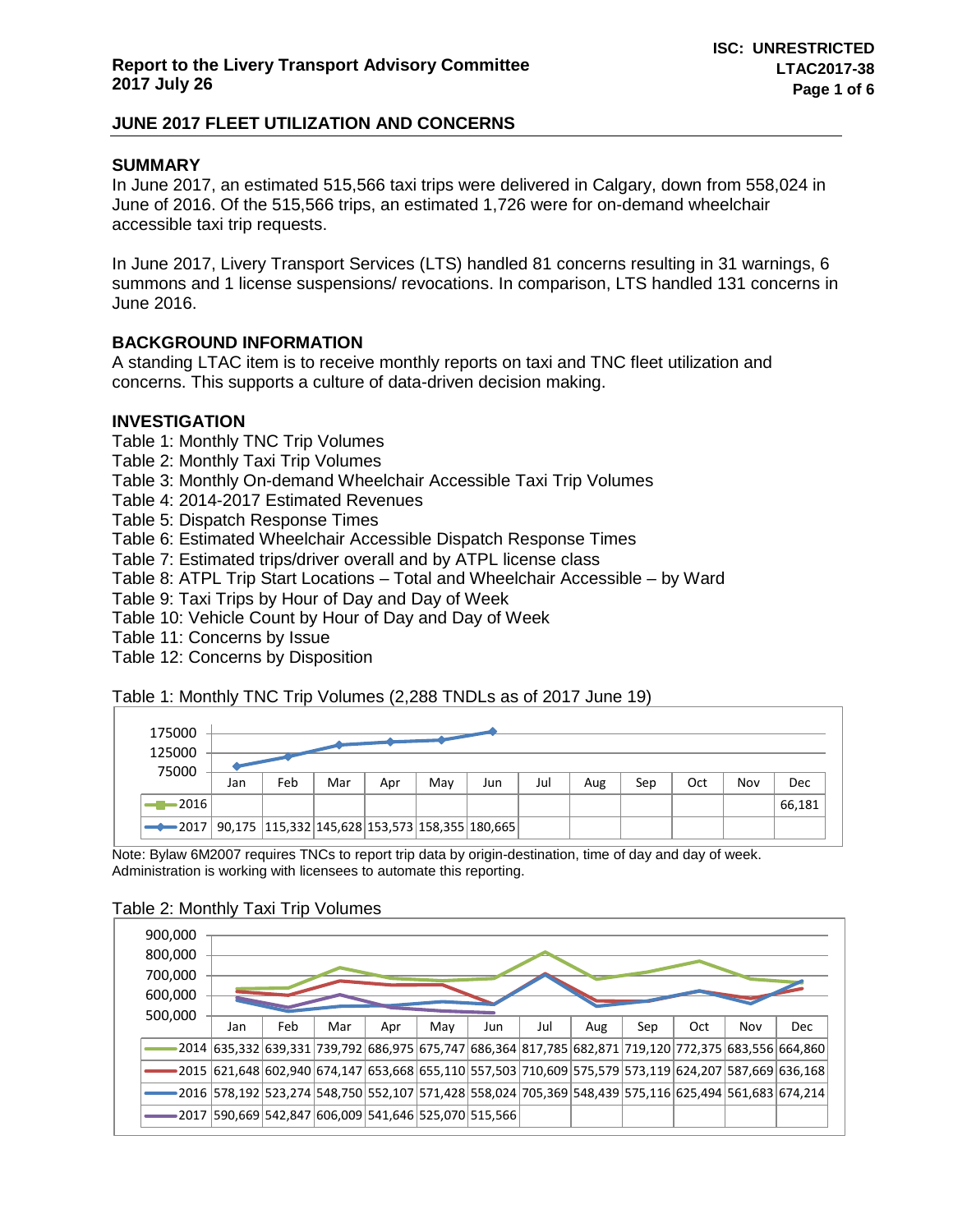# **SUMMARY**

In June 2017, an estimated 515,566 taxi trips were delivered in Calgary, down from 558,024 in June of 2016. Of the 515,566 trips, an estimated 1,726 were for on-demand wheelchair accessible taxi trip requests.

In June 2017, Livery Transport Services (LTS) handled 81 concerns resulting in 31 warnings, 6 summons and 1 license suspensions/ revocations. In comparison, LTS handled 131 concerns in June 2016.

# **BACKGROUND INFORMATION**

A standing LTAC item is to receive monthly reports on taxi and TNC fleet utilization and concerns. This supports a culture of data-driven decision making.

# **INVESTIGATION**

Table 1: Monthly TNC Trip Volumes Table 2: Monthly Taxi Trip Volumes Table 3: Monthly On-demand Wheelchair Accessible Taxi Trip Volumes Table 4: 2014-2017 Estimated Revenues Table 5: Dispatch Response Times Table 6: Estimated Wheelchair Accessible Dispatch Response Times Table 7: Estimated trips/driver overall and by ATPL license class Table 8: ATPL Trip Start Locations – Total and Wheelchair Accessible – by Ward Table 9: Taxi Trips by Hour of Day and Day of Week Table 10: Vehicle Count by Hour of Day and Day of Week Table 11: Concerns by Issue

Table 12: Concerns by Disposition

## Table 1: Monthly TNC Trip Volumes (2,288 TNDLs as of 2017 June 19)

| 175000<br>125000<br>75000 |     |     |     |     |     |                                                          |     |     |     |     |     |        |  |  |  |  |
|---------------------------|-----|-----|-----|-----|-----|----------------------------------------------------------|-----|-----|-----|-----|-----|--------|--|--|--|--|
|                           | Jan | Feb | Mar | Apr | May | Jun                                                      | Jul | Aug | Sep | Oct | Nov | Dec    |  |  |  |  |
| $-2016$                   |     |     |     |     |     |                                                          |     |     |     |     |     | 66,181 |  |  |  |  |
| $\leftarrow$ 2017         |     |     |     |     |     | 90,175   115,332   145,628   153,573   158,355   180,665 |     |     |     |     |     |        |  |  |  |  |

Note: Bylaw 6M2007 requires TNCs to report trip data by origin-destination, time of day and day of week. Administration is working with licensees to automate this reporting.



## Table 2: Monthly Taxi Trip Volumes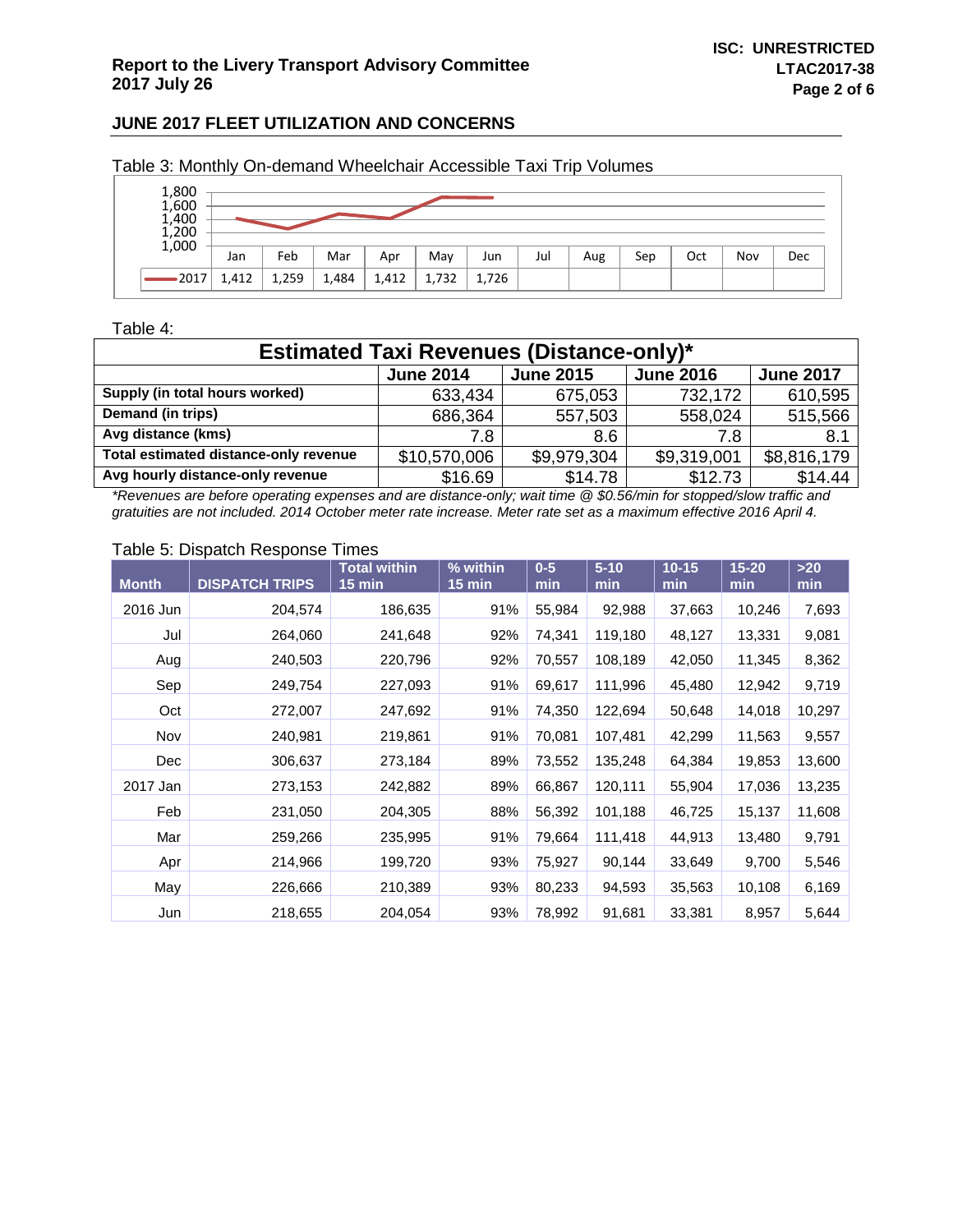| 1,800<br>1,600<br>1,400<br>$1,200$<br>$1,000$ |       |       |       |       |       |       |     |     |     |     |     |     |
|-----------------------------------------------|-------|-------|-------|-------|-------|-------|-----|-----|-----|-----|-----|-----|
|                                               | Jan   | Feb   | Mar   | Apr   | May   | Jun   | Jul | Aug | Sep | Oct | Nov | Dec |
| $-2017$                                       | 1,412 | 1,259 | 1,484 | 1,412 | 1,732 | 1,726 |     |     |     |     |     |     |

Table 3: Monthly On-demand Wheelchair Accessible Taxi Trip Volumes

## Table 4:

| <b>Estimated Taxi Revenues (Distance-only)*</b>                              |              |             |             |             |  |  |  |  |  |
|------------------------------------------------------------------------------|--------------|-------------|-------------|-------------|--|--|--|--|--|
| <b>June 2017</b><br><b>June 2015</b><br><b>June 2014</b><br><b>June 2016</b> |              |             |             |             |  |  |  |  |  |
| Supply (in total hours worked)                                               | 633,434      | 675,053     | 732,172     | 610,595     |  |  |  |  |  |
| Demand (in trips)                                                            | 686,364      | 557,503     | 558,024     | 515,566     |  |  |  |  |  |
| Avg distance (kms)                                                           | 7.8          | 8.6         | 7.8         | 8.1         |  |  |  |  |  |
| Total estimated distance-only revenue                                        | \$10,570,006 | \$9,979,304 | \$9,319,001 | \$8,816,179 |  |  |  |  |  |
| Avg hourly distance-only revenue                                             | \$16.69      | \$14.78     | \$12.73     | \$14.44     |  |  |  |  |  |

*\*Revenues are before operating expenses and are distance-only; wait time @ \$0.56/min for stopped/slow traffic and gratuities are not included. 2014 October meter rate increase. Meter rate set as a maximum effective 2016 April 4.*

#### Table 5: Dispatch Response Times

| <b>Month</b> | <b>DISPATCH TRIPS</b> | <b>Total within</b><br><b>15 min</b> | % within<br><b>15 min</b> | $0-5$<br>min | $5 - 10$<br>min | $10 - 15$<br>min | $15 - 20$<br>min | $>20$<br>min |
|--------------|-----------------------|--------------------------------------|---------------------------|--------------|-----------------|------------------|------------------|--------------|
| 2016 Jun     | 204,574               | 186,635                              | 91%                       | 55,984       | 92,988          | 37,663           | 10,246           | 7,693        |
| Jul          | 264,060               | 241,648                              | 92%                       | 74,341       | 119,180         | 48,127           | 13,331           | 9,081        |
| Aug          | 240,503               | 220,796                              | 92%                       | 70,557       | 108,189         | 42,050           | 11,345           | 8,362        |
| Sep          | 249,754               | 227,093                              | 91%                       | 69,617       | 111,996         | 45,480           | 12,942           | 9,719        |
| Oct          | 272,007               | 247,692                              | 91%                       | 74,350       | 122,694         | 50,648           | 14,018           | 10,297       |
| Nov          | 240,981               | 219,861                              | 91%                       | 70,081       | 107,481         | 42,299           | 11,563           | 9,557        |
| Dec          | 306,637               | 273,184                              | 89%                       | 73,552       | 135,248         | 64,384           | 19,853           | 13,600       |
| 2017 Jan     | 273,153               | 242,882                              | 89%                       | 66,867       | 120,111         | 55,904           | 17,036           | 13,235       |
| Feb          | 231,050               | 204,305                              | 88%                       | 56,392       | 101,188         | 46,725           | 15,137           | 11,608       |
| Mar          | 259,266               | 235,995                              | 91%                       | 79,664       | 111,418         | 44,913           | 13,480           | 9,791        |
| Apr          | 214,966               | 199,720                              | 93%                       | 75,927       | 90,144          | 33,649           | 9,700            | 5,546        |
| May          | 226,666               | 210,389                              | 93%                       | 80,233       | 94,593          | 35,563           | 10,108           | 6,169        |
| Jun          | 218,655               | 204,054                              | 93%                       | 78,992       | 91,681          | 33,381           | 8,957            | 5,644        |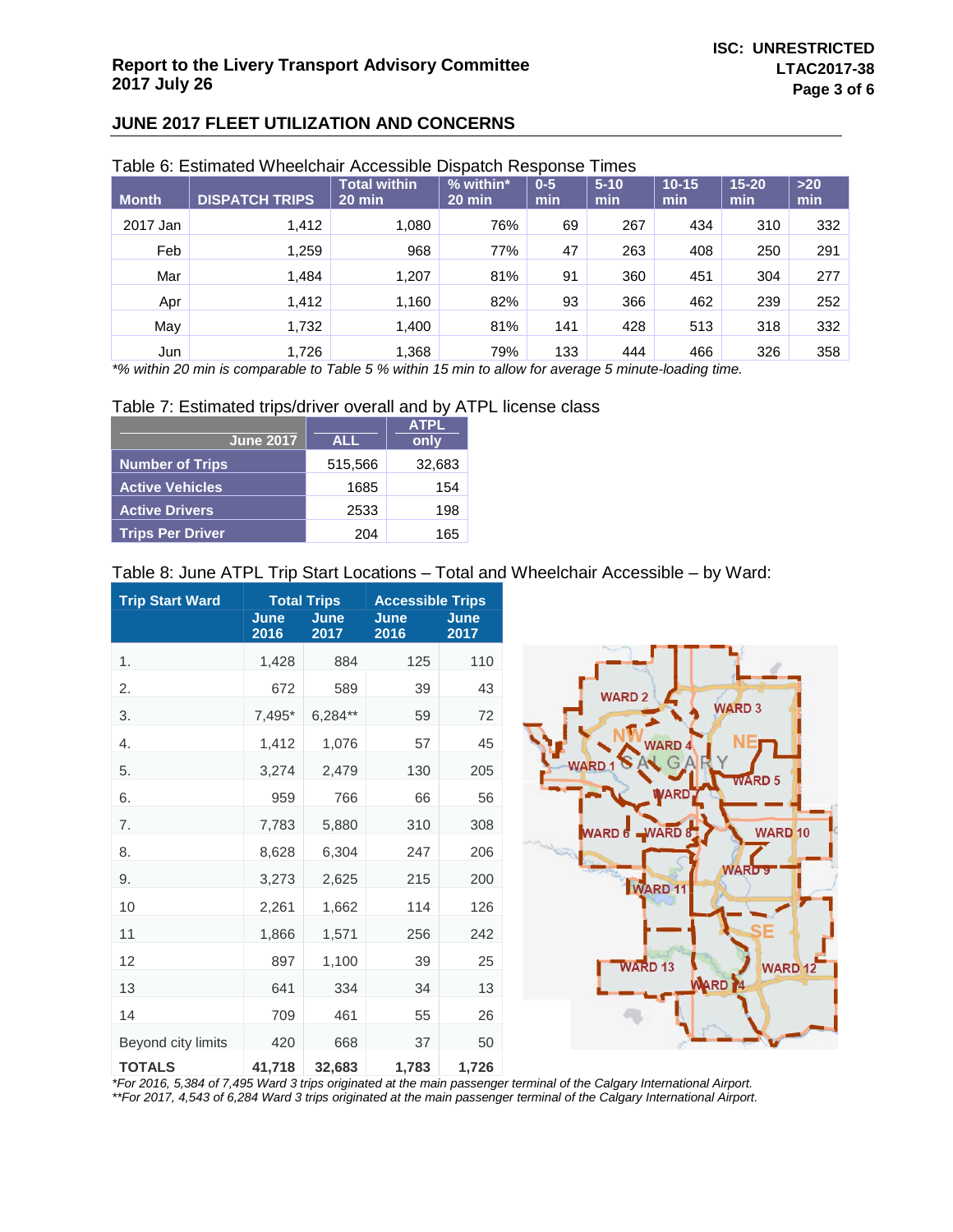#### Table 6: Estimated Wheelchair Accessible Dispatch Response Times

| <b>Month</b> | <b>DISPATCH TRIPS</b> | <b>Total within</b><br>$20$ min | $%$ within*<br>20 min | $0-5$<br>min | $5 - 10$<br>min | $10 - 15$<br>min | $15 - 20$<br>min | $>20$<br>min |
|--------------|-----------------------|---------------------------------|-----------------------|--------------|-----------------|------------------|------------------|--------------|
| 2017 Jan     | 1,412                 | 1,080                           | 76%                   | 69           | 267             | 434              | 310              | 332          |
| Feb          | 1,259                 | 968                             | 77%                   | 47           | 263             | 408              | 250              | 291          |
| Mar          | 1,484                 | 1,207                           | 81%                   | 91           | 360             | 451              | 304              | 277          |
| Apr          | 1,412                 | 1,160                           | 82%                   | 93           | 366             | 462              | 239              | 252          |
| May          | 1,732                 | 1,400                           | 81%                   | 141          | 428             | 513              | 318              | 332          |
| Jun          | 1,726                 | 1,368                           | 79%                   | 133          | 444             | 466              | 326              | 358          |

*\*% within 20 min is comparable to Table 5 % within 15 min to allow for average 5 minute-loading time.*

#### Table 7: Estimated trips/driver overall and by ATPL license class

| <b>June 2017</b>        | <b>ALL</b> | <b>ATPL</b><br>only |
|-------------------------|------------|---------------------|
| <b>Number of Trips</b>  | 515,566    | 32,683              |
| <b>Active Vehicles</b>  | 1685       | 154                 |
| <b>Active Drivers</b>   | 2533       | 198                 |
| <b>Trips Per Driver</b> | 204        | 165                 |

#### Table 8: June ATPL Trip Start Locations – Total and Wheelchair Accessible – by Ward:

| <b>Trip Start Ward</b> |              | <b>Total Trips</b>  |              | <b>Accessible Trips</b> |  |  |  |  |  |
|------------------------|--------------|---------------------|--------------|-------------------------|--|--|--|--|--|
|                        | June<br>2016 | <b>June</b><br>2017 | June<br>2016 | June<br>2017            |  |  |  |  |  |
| 1.                     | 1,428        | 884                 | 125          | 110                     |  |  |  |  |  |
| 2.                     | 672          | 589                 | 39           | 43                      |  |  |  |  |  |
| 3.                     | 7,495*       | 6,284**             | 59           | 72                      |  |  |  |  |  |
| 4.                     | 1.412        | 1,076               | 57           | 45                      |  |  |  |  |  |
| 5.                     | 3,274        | 2,479               | 130          | 205                     |  |  |  |  |  |
| 6.                     | 959          | 766                 | 66           | 56                      |  |  |  |  |  |
| 7.                     | 7,783        | 5,880               | 310          | 308                     |  |  |  |  |  |
| 8.                     | 8,628        | 6,304               | 247          | 206                     |  |  |  |  |  |
| 9.                     | 3,273        | 2,625               | 215          | 200                     |  |  |  |  |  |
| 10                     | 2,261        | 1,662               | 114          | 126                     |  |  |  |  |  |
| 11                     | 1,866        | 1,571               | 256          | 242                     |  |  |  |  |  |
| 12                     | 897          | 1,100               | 39           | 25                      |  |  |  |  |  |
| 13                     | 641          | 334                 | 34           | 13                      |  |  |  |  |  |
| 14                     | 709          | 461                 | 55           | 26                      |  |  |  |  |  |
| Beyond city limits     | 420          | 668                 | 37           | 50                      |  |  |  |  |  |
| <b>TOTALS</b>          | 41,718       | 32,683              | 1,783        | 1,726                   |  |  |  |  |  |



*\*For 2016, 5,384 of 7,495 Ward 3 trips originated at the main passenger terminal of the Calgary International Airport. \*\*For 2017, 4,543 of 6,284 Ward 3 trips originated at the main passenger terminal of the Calgary International Airport.*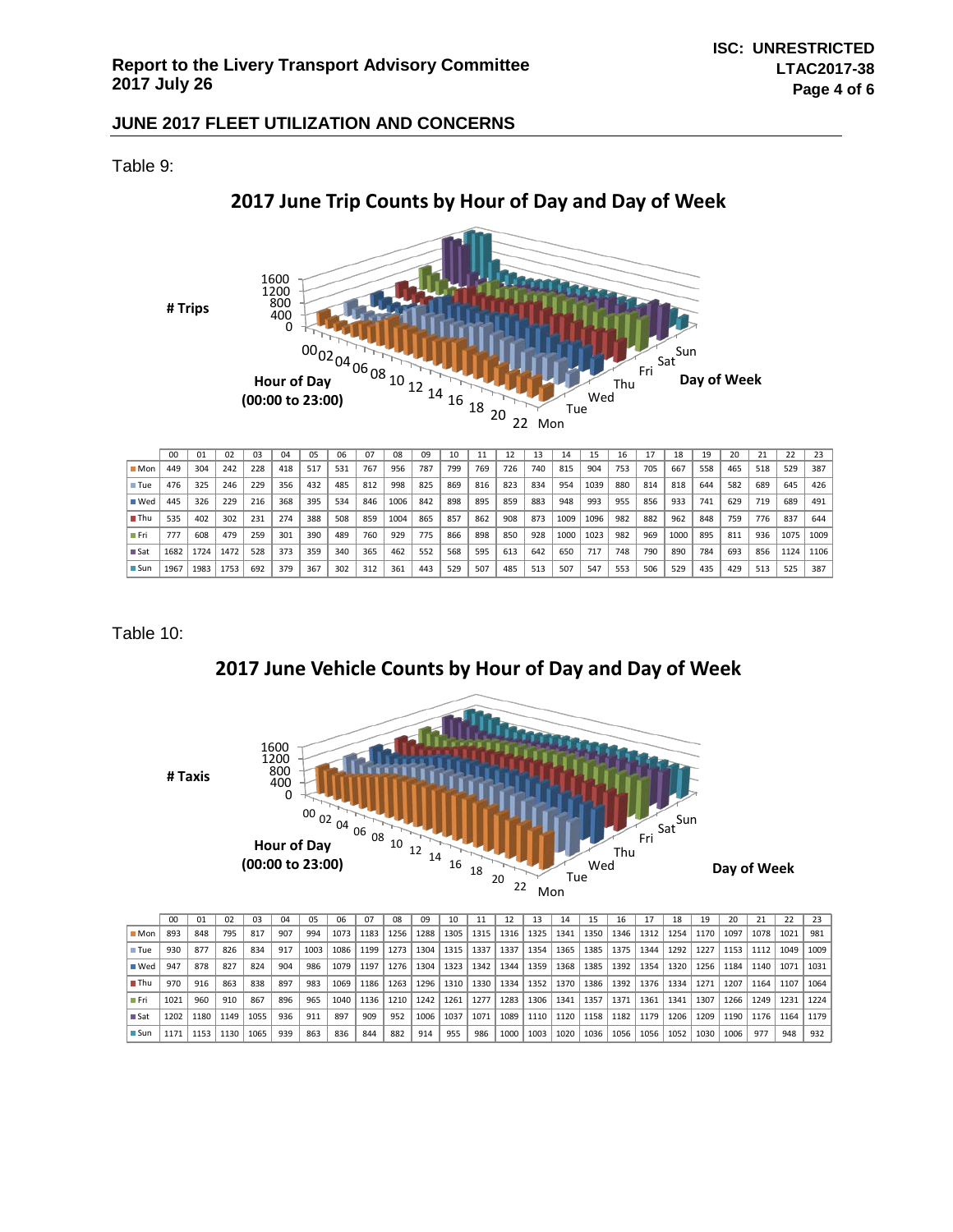Table 9:



|                    | 00   | 01   | 02   | 03  | 04  | 05  | 06  | 07  | 08   | 09  | 10  |     | 12  |     | 14   | 15   | 16  |     | 18   | 19  | 20  |     | 22   | 23   |
|--------------------|------|------|------|-----|-----|-----|-----|-----|------|-----|-----|-----|-----|-----|------|------|-----|-----|------|-----|-----|-----|------|------|
| $M$ on             | 449  | 304  | 242  | 228 | 418 | 517 | 531 | 767 | 956  | 787 | 799 | 769 | 726 | 740 | 815  | 904  | 753 | 705 | 667  | 558 | 465 | 518 | 529  | 387  |
| <b>■Tue</b>        | 476  | 325  | 246  | 229 | 356 | 432 | 485 | 812 | 998  | 825 | 869 | 816 | 823 | 834 | 954  | 1039 | 880 | 814 | 818  | 644 | 582 | 689 | 645  | 426  |
| ■ Wed              | 445  | 326  | 229  | 216 | 368 | 395 | 534 | 846 | 1006 | 842 | 898 | 895 | 859 | 883 | 948  | 993  | 955 | 856 | 933  | 741 | 629 | 719 | 689  | 491  |
| $\blacksquare$ Thu | 535  | 402  | 302  | 231 | 274 | 388 | 508 | 859 | 1004 | 865 | 857 | 862 | 908 | 873 | 1009 | 1096 | 982 | 882 | 962  | 848 | 759 | 776 | 837  | 644  |
| ∎ Fri              | 777  | 608  | 479  | 259 | 301 | 390 | 489 | 760 | 929  | 775 | 866 | 898 | 850 | 928 | 1000 | 1023 | 982 | 969 | 1000 | 895 | 811 | 936 | 1075 | 1009 |
| ■ Sat              | 1682 | 1724 | 1472 | 528 | 373 | 359 | 340 | 365 | 462  | 552 | 568 | 595 | 613 | 642 | 650  | 717  | 748 | 790 | 890  | 784 | 693 | 856 | 1124 | 1106 |
| <b>■Sun</b>        | 1967 | 1983 | 1753 | 692 | 379 | 367 | 302 | 312 | 361  | 443 | 529 | 507 | 485 | 513 | 507  | 547  | 553 | 506 | 529  | 435 | 429 | 513 | 525  | 387  |

Table 10:





|                    | 00   | 01          | 02   | 03   | 04  | 05   | 06   | 07   | 08   | 09   | 10   |      |      | 13   | 14   |      | 16   |      | 18   |      | 20   |      | 22   | 23   |
|--------------------|------|-------------|------|------|-----|------|------|------|------|------|------|------|------|------|------|------|------|------|------|------|------|------|------|------|
| $M$ on             | 893  | 848         | 795  | 817  | 907 | 994  | 1073 | 1183 | 1256 | 1288 | 1305 | 1315 | 1316 | 1325 | 1341 | 1350 | 1346 | 1312 | 1254 | 1170 | 1097 | 1078 | 1021 | 981  |
| ■ Tue              | 930  | 877         | 826  | 834  | 917 | 1003 | 1086 | 1199 | 1273 | 1304 | 1315 | 1337 | 1337 | 1354 | 1365 | 1385 | 1375 | 1344 | 1292 | 1227 | 1153 | 1112 | 1049 | 1009 |
| $\blacksquare$ Wed | 947  | 878         | 827  | 824  | 904 | 986  | 1079 | 1197 | 1276 | 1304 | 1323 | 1342 | 1344 | 1359 | 1368 | 1385 | 1392 | 1354 | 1320 | 1256 | 1184 | 1140 | 1071 | 1031 |
| $\blacksquare$ Thu | 970  | 916         | 863  | 838  | 897 | 983  | 1069 | 1186 | 1263 | 1296 | 1310 | 1330 | 1334 | 1352 | 1370 | 1386 | 1392 | 1376 | 1334 | 1271 | 1207 | 1164 | 1107 | 1064 |
| ⊞ Fri              | 1021 | 960         | 910  | 867  | 896 | 965  | 1040 | 1136 | 1210 | 1242 | 1261 | 1277 | 1283 | 1306 | 1341 | 1357 | 1371 | 1361 | 1341 | 1307 | 1266 | 1249 | 1231 | 1224 |
| $\blacksquare$ Sat | 1202 | 1180        | 1149 | 1055 | 936 | 911  | 897  | 909  | 952  | 1006 | 1037 | 1071 | 1089 | 1110 | 1120 | 1158 | 1182 | 1179 | 1206 | 1209 | 1190 | 1176 | 1164 | 1179 |
| l∎Sun              |      | 1171   1153 | 1130 | 1065 | 939 | 863  | 836  | 844  | 882  | 914  | 955  | 986  | 1000 | 1003 | 1020 | 1036 | 1056 | 1056 | 1052 | 1030 | 1006 | 977  | 948  | 932  |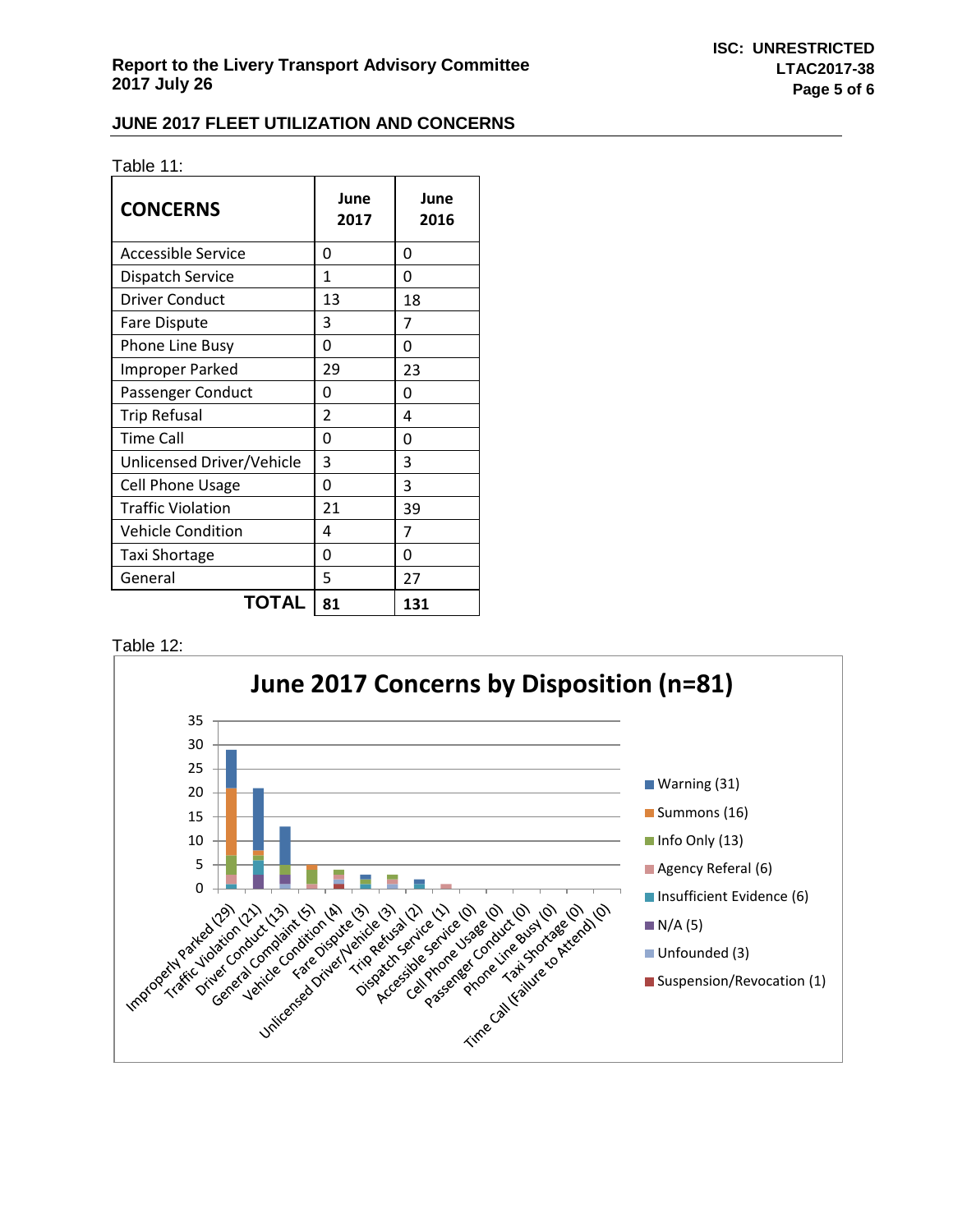| <b>CONCERNS</b>           | June<br>2017 | June<br>2016 |
|---------------------------|--------------|--------------|
| Accessible Service        | 0            | 0            |
| Dispatch Service          | 1            | O            |
| <b>Driver Conduct</b>     | 13           | 18           |
| Fare Dispute              | 3            | 7            |
| <b>Phone Line Busy</b>    | 0            | O            |
| Improper Parked           | 29           | 23           |
| Passenger Conduct         | 0            | O            |
| <b>Trip Refusal</b>       | 2            | 4            |
| Time Call                 | 0            | 0            |
| Unlicensed Driver/Vehicle | 3            | 3            |
| <b>Cell Phone Usage</b>   | 0            | 3            |
| <b>Traffic Violation</b>  | 21           | 39           |
| <b>Vehicle Condition</b>  | 4            | 7            |
| <b>Taxi Shortage</b>      | 0            | 0            |
| General                   | 5            | 27           |
| <b>TOTAL</b>              | 81           | 131          |

Table 12: